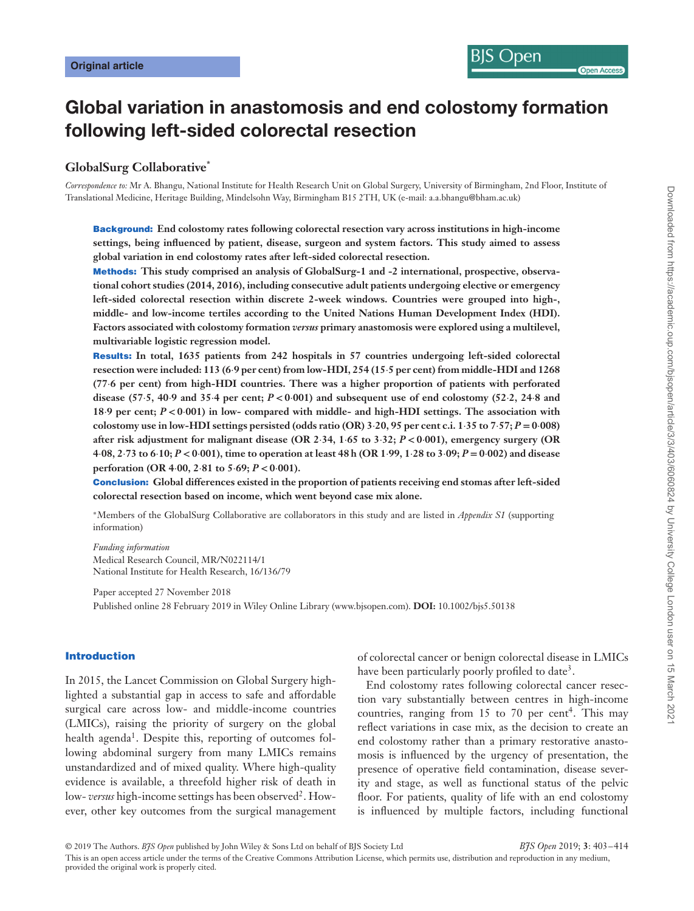# **Global variation in anastomosis and end colostomy formation following left-sided colorectal resection**

# **GlobalSurg Collaborative\***

*Correspondence to:* Mr A. Bhangu, National Institute for Health Research Unit on Global Surgery, University of Birmingham, 2nd Floor, Institute of Translational Medicine, Heritage Building, Mindelsohn Way, Birmingham B15 2TH, UK (e-mail: a.a.bhangu@bham.ac.uk)

**Background: End colostomy rates following colorectal resection vary across institutions in high-income settings, being influenced by patient, disease, surgeon and system factors. This study aimed to assess global variation in end colostomy rates after left-sided colorectal resection.**

**Methods: This study comprised an analysis of GlobalSurg-1 and -2 international, prospective, observational cohort studies (2014, 2016), including consecutive adult patients undergoing elective or emergency left-sided colorectal resection within discrete 2-week windows. Countries were grouped into high-, middle- and low-income tertiles according to the United Nations Human Development Index (HDI). Factors associated with colostomy formation** *versus* **primary anastomosis were explored using a multilevel, multivariable logistic regression model.**

**Results: In total, 1635 patients from 242 hospitals in 57 countries undergoing left-sided colorectal resection were included: 113 (6⋅9 per cent) from low-HDI, 254 (15⋅5 per cent) from middle-HDI and 1268 (77⋅6 per cent) from high-HDI countries. There was a higher proportion of patients with perforated disease (57⋅5, 40⋅9 and 35⋅4 per cent;** *P <* **0⋅001) and subsequent use of end colostomy (52⋅2, 24⋅8 and 18⋅9 per cent;** *P <* **0⋅001) in low- compared with middle- and high-HDI settings. The association with colostomy use in low-HDI settings persisted (odds ratio (OR) 3⋅20, 95 per cent c.i. 1⋅35 to 7⋅57;** *P* **= 0⋅008) after risk adjustment for malignant disease (OR 2⋅34, 1⋅65 to 3⋅32;** *P <* **0⋅001), emergency surgery (OR** 4.08, 2.73 to 6.10;  $P < 0.001$ ), time to operation at least 48 h (OR 1.99, 1.28 to 3.09;  $P = 0.002$ ) and disease **perforation (OR 4⋅00, 2⋅81 to 5⋅69;** *P <* **0⋅001).**

**Conclusion: Global differences existed in the proportion of patients receiving end stomas after left-sided colorectal resection based on income, which went beyond case mix alone.**

<sup>∗</sup>Members of the GlobalSurg Collaborative are collaborators in this study and are listed in *Appendix S1* (supporting information)

*Funding information* Medical Research Council, MR/N022114/1 National Institute for Health Research, 16/136/79

Paper accepted 27 November 2018 Published online 28 February 2019 in Wiley Online Library (www.bjsopen.com). **DOI:** 10.1002/bjs5.50138

#### **Introduction**

In 2015, the Lancet Commission on Global Surgery highlighted a substantial gap in access to safe and affordable surgical care across low- and middle-income countries (LMICs), raising the priority of surgery on the global health agenda<sup>1</sup>. Despite this, reporting of outcomes following abdominal surgery from many LMICs remains unstandardized and of mixed quality. Where high-quality evidence is available, a threefold higher risk of death in low-*versus* high-income settings has been observed<sup>2</sup>. However, other key outcomes from the surgical management of colorectal cancer or benign colorectal disease in LMICs have been particularly poorly profiled to date<sup>3</sup>.

End colostomy rates following colorectal cancer resection vary substantially between centres in high-income countries, ranging from 15 to 70 per cent<sup>4</sup>. This may reflect variations in case mix, as the decision to create an end colostomy rather than a primary restorative anastomosis is influenced by the urgency of presentation, the presence of operative field contamination, disease severity and stage, as well as functional status of the pelvic floor. For patients, quality of life with an end colostomy is influenced by multiple factors, including functional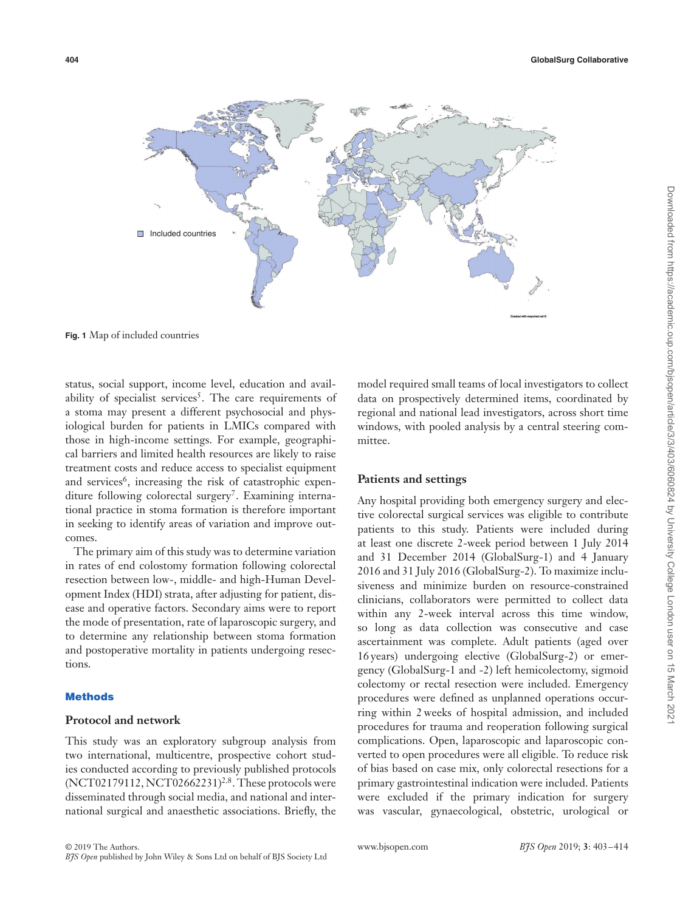

**Fig. 1** Map of included countries

status, social support, income level, education and availability of specialist services<sup>5</sup>. The care requirements of a stoma may present a different psychosocial and physiological burden for patients in LMICs compared with those in high-income settings. For example, geographical barriers and limited health resources are likely to raise treatment costs and reduce access to specialist equipment and services<sup>6</sup>, increasing the risk of catastrophic expenditure following colorectal surgery<sup>7</sup>. Examining international practice in stoma formation is therefore important in seeking to identify areas of variation and improve outcomes.

The primary aim of this study was to determine variation in rates of end colostomy formation following colorectal resection between low-, middle- and high-Human Development Index (HDI) strata, after adjusting for patient, disease and operative factors. Secondary aims were to report the mode of presentation, rate of laparoscopic surgery, and to determine any relationship between stoma formation and postoperative mortality in patients undergoing resections.

## **Methods**

## **Protocol and network**

This study was an exploratory subgroup analysis from two international, multicentre, prospective cohort studies conducted according to previously published protocols (NCT02179112, NCT02662231)<sup>2</sup>*,*8. These protocols were disseminated through social media, and national and international surgical and anaesthetic associations. Briefly, the

model required small teams of local investigators to collect data on prospectively determined items, coordinated by regional and national lead investigators, across short time windows, with pooled analysis by a central steering committee.

#### **Patients and settings**

Any hospital providing both emergency surgery and elective colorectal surgical services was eligible to contribute patients to this study. Patients were included during at least one discrete 2-week period between 1 July 2014 and 31 December 2014 (GlobalSurg-1) and 4 January 2016 and 31 July 2016 (GlobalSurg-2). To maximize inclusiveness and minimize burden on resource-constrained clinicians, collaborators were permitted to collect data within any 2-week interval across this time window, so long as data collection was consecutive and case ascertainment was complete. Adult patients (aged over 16 years) undergoing elective (GlobalSurg-2) or emergency (GlobalSurg-1 and -2) left hemicolectomy, sigmoid colectomy or rectal resection were included. Emergency procedures were defined as unplanned operations occurring within 2 weeks of hospital admission, and included procedures for trauma and reoperation following surgical complications. Open, laparoscopic and laparoscopic converted to open procedures were all eligible. To reduce risk of bias based on case mix, only colorectal resections for a primary gastrointestinal indication were included. Patients were excluded if the primary indication for surgery was vascular, gynaecological, obstetric, urological or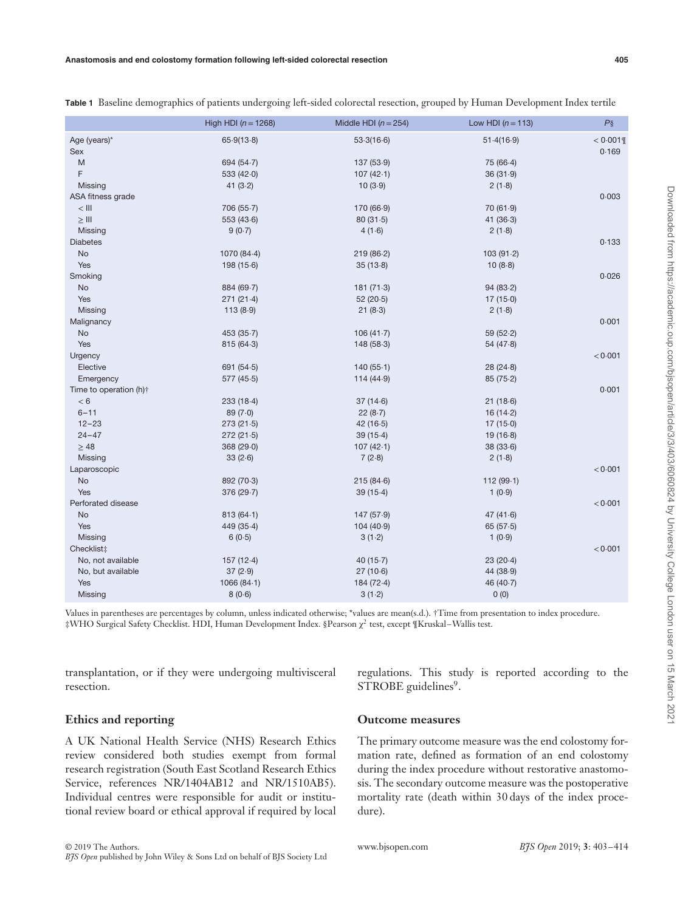|                        | High HDI ( $n = 1268$ ) | Middle HDI $(n = 254)$ | Low HDI $(n = 113)$ | $P\S$       |
|------------------------|-------------------------|------------------------|---------------------|-------------|
| Age (years)*           | 65.9(13.8)              | 53.3(16.6)             | 51.4(16.9)          | $< 0.001$ ¶ |
| <b>Sex</b>             |                         |                        |                     | 0.169       |
| M                      | 694 (54.7)              | 137(53.9)              | 75 (66.4)           |             |
| F                      | 533 $(42.0)$            | 107(42.1)              | 36(31.9)            |             |
| Missing                | 41 $(3.2)$              | 10(3.9)                | 2(1.8)              |             |
| ASA fitness grade      |                         |                        |                     | 0.003       |
| $<$ $   $              | 706 (55.7)              | 170 (66.9)             | 70(61.9)            |             |
| $\geq$ III             | 553 (43.6)              | 80(31.5)               | 41(36.3)            |             |
| Missing                | 9(0.7)                  | 4(1.6)                 | 2(1.8)              |             |
| <b>Diabetes</b>        |                         |                        |                     | 0.133       |
| No                     | 1070 (84-4)             | 219(86.2)              | 103(91.2)           |             |
| Yes                    | 198(15.6)               | 35(13.8)               | 10(8.8)             |             |
| Smoking                |                         |                        |                     | 0.026       |
| No                     | 884 (69.7)              | 181(71.3)              | 94(83.2)            |             |
| Yes                    | 271(21.4)               | 52(20.5)               | 17(15.0)            |             |
| Missing                | 113(8.9)                | 21(8.3)                | 2(1.8)              |             |
| Malignancy             |                         |                        |                     | 0.001       |
| No                     | 453 (35.7)              | 106(41.7)              | 59(52.2)            |             |
| Yes                    | 815 (64.3)              | 148(58.3)              | 54(47.8)            |             |
| Urgency                |                         |                        |                     | < 0.001     |
| Elective               | 691 $(54.5)$            | 140(55.1)              | 28(24.8)            |             |
| Emergency              | 577(45.5)               | 114(44.9)              | 85(75.2)            |             |
| Time to operation (h); |                         |                        |                     | 0.001       |
| < 6                    | 233(18.4)               | 37(14.6)               | 21(18.6)            |             |
| $6 - 11$               | 89(7.0)                 | 22(8.7)                | 16(14.2)            |             |
| $12 - 23$              | 273(21.5)               | 42(16.5)               | 17(15.0)            |             |
| $24 - 47$              | 272(21.5)               | 39(15.4)               | 19(16.8)            |             |
| $\geq 48$              | 368 (29.0)              | 107(42.1)              | 38(33.6)            |             |
| Missing                | 33(2.6)                 | 7(2.8)                 | 2(1.8)              |             |
| Laparoscopic           |                         |                        |                     | < 0.001     |
| No                     | 892 (70.3)              | 215(84.6)              | 112 (99.1)          |             |
| Yes                    | 376 (29.7)              | 39(15.4)               | 1(0.9)              |             |
| Perforated disease     |                         |                        |                     | < 0.001     |
| <b>No</b>              | 813(64.1)               | 147(57.9)              | 47 $(41.6)$         |             |
| Yes                    | 449 (35.4)              | 104(40.9)              | 65(57.5)            |             |
| Missing                | 6(0.5)                  | 3(1.2)                 | 1(0.9)              |             |
| Checklist:             |                         |                        |                     | < 0.001     |
| No, not available      | 157(12.4)               | 40 $(15.7)$            | 23(20.4)            |             |
| No, but available      | 37(2.9)                 | 27(10.6)               | 44 (38.9)           |             |
| Yes                    | 1066(84.1)              | 184 (72.4)             | 46 (40.7)           |             |
| Missing                | 8(0.6)                  | 3(1.2)                 | 0(0)                |             |
|                        |                         |                        |                     |             |

**Table 1** Baseline demographics of patients undergoing left-sided colorectal resection, grouped by Human Development Index tertile

Values in parentheses are percentages by column, unless indicated otherwise; \*values are mean(s.d.). †Time from presentation to index procedure. ‡WHO Surgical Safety Checklist. HDI, Human Development Index. §Pearson χ<sup>2</sup> test, except ¶Kruskal–Wallis test.

transplantation, or if they were undergoing multivisceral resection.

regulations. This study is reported according to the STROBE guidelines<sup>9</sup>.

# **Ethics and reporting**

A UK National Health Service (NHS) Research Ethics review considered both studies exempt from formal research registration (South East Scotland Research Ethics Service, references NR/1404AB12 and NR/1510AB5). Individual centres were responsible for audit or institutional review board or ethical approval if required by local

# **Outcome measures**

The primary outcome measure was the end colostomy formation rate, defined as formation of an end colostomy during the index procedure without restorative anastomosis. The secondary outcome measure was the postoperative mortality rate (death within 30 days of the index procedure).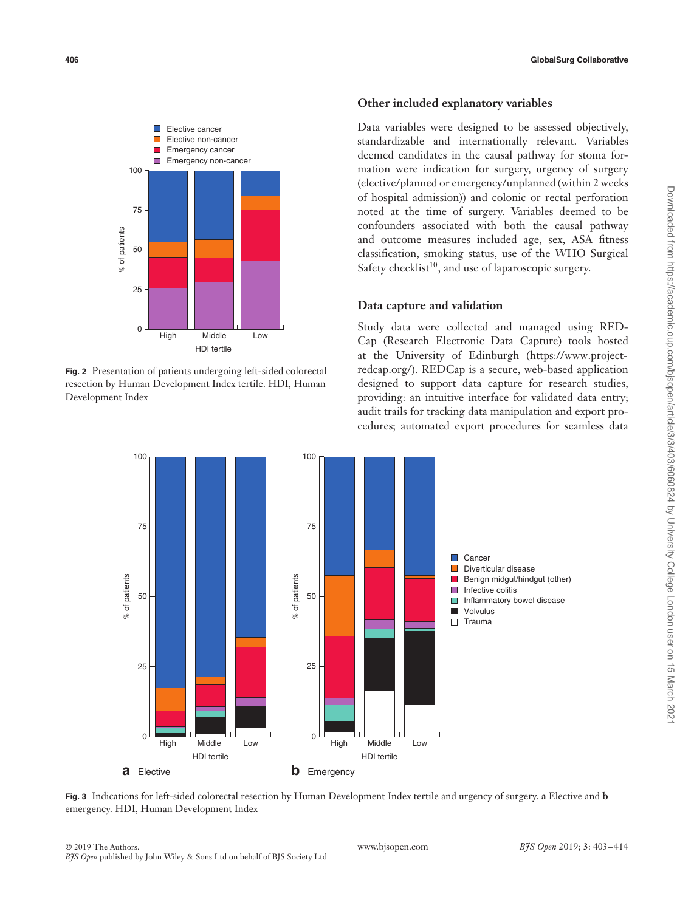

**Fig. 2** Presentation of patients undergoing left-sided colorectal resection by Human Development Index tertile. HDI, Human Development Index

# **Other included explanatory variables**

Data variables were designed to be assessed objectively, standardizable and internationally relevant. Variables deemed candidates in the causal pathway for stoma formation were indication for surgery, urgency of surgery (elective/planned or emergency/unplanned (within 2 weeks of hospital admission)) and colonic or rectal perforation noted at the time of surgery. Variables deemed to be confounders associated with both the causal pathway and outcome measures included age, sex, ASA fitness classification, smoking status, use of the WHO Surgical Safety checklist<sup>10</sup>, and use of laparoscopic surgery.

# **Data capture and validation**

Study data were collected and managed using RED-Cap (Research Electronic Data Capture) tools hosted at the University of Edinburgh [\(https://www.project](https://www.project-redcap.org)[redcap.org/](https://www.project-redcap.org)). REDCap is a secure, web-based application designed to support data capture for research studies, providing: an intuitive interface for validated data entry; audit trails for tracking data manipulation and export procedures; automated export procedures for seamless data



**Fig. 3** Indications for left-sided colorectal resection by Human Development Index tertile and urgency of surgery. **a** Elective and **b** emergency. HDI, Human Development Index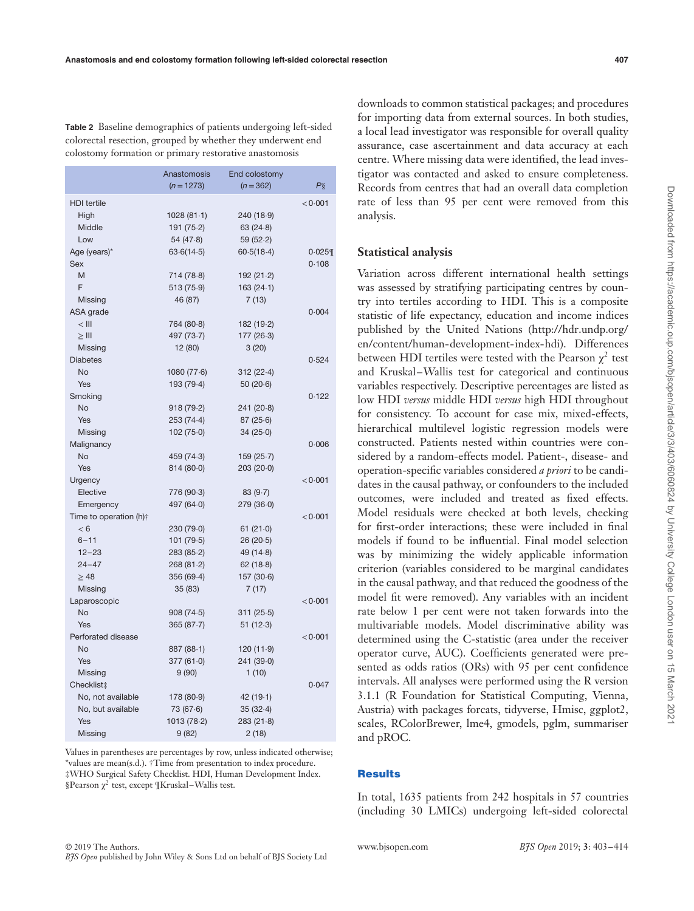**Table 2** Baseline demographics of patients undergoing left-sided colorectal resection, grouped by whether they underwent end colostomy formation or primary restorative anastomosis

|                        | Anastomosis  | End colostomy |         |
|------------------------|--------------|---------------|---------|
|                        | $(n = 1273)$ | $(n = 362)$   | $P\S$   |
| <b>HDI</b> tertile     |              |               | < 0.001 |
| High                   | 1028(81.1)   | 240 (18.9)    |         |
| Middle                 | 191(75.2)    | 63(24.8)      |         |
| Low                    | 54(47.8)     | 59(52.2)      |         |
| Age (years)*           | 63.6(14.5)   | 60.5(18.4)    | 0.025   |
| <b>Sex</b>             |              |               | 0.108   |
| M                      | 714 (78.8)   | 192(21.2)     |         |
| F                      | 513 (75.9)   | 163(24.1)     |         |
| Missing                | 46 (87)      | 7(13)         |         |
| ASA grade              |              |               | 0.004   |
| $<$ $   $              | 764 (80.8)   | 182 (19-2)    |         |
| $\geq$ III             | 497 (73.7)   | 177(26.3)     |         |
| Missing                | 12 (80)      | 3(20)         |         |
| <b>Diabetes</b>        |              |               | 0.524   |
| <b>No</b>              | 1080(77.6)   | 312(22.4)     |         |
| Yes                    | 193 (79.4)   | 50(20.6)      |         |
| Smoking                |              |               | 0.122   |
| No                     | 918(79.2)    | 241(20.8)     |         |
| Yes                    | 253 (74.4)   | 87(25.6)      |         |
| Missing                | 102(75.0)    | 34(25.0)      |         |
| Malignancy             |              |               | 0.006   |
| No                     | 459 (74.3)   | 159(25.7)     |         |
| Yes                    | 814 (80.0)   | 203(20.0)     |         |
| Urgency                |              |               | < 0.001 |
| Elective               | 776 (90.3)   | 83(9.7)       |         |
| Emergency              | 497 (64.0)   | 279 (36.0)    |         |
| Time to operation (h)† |              |               | < 0.001 |
| < 6                    | 230 (79.0)   | 61(21.0)      |         |
| $6 - 11$               | 101(79.5)    | 26(20.5)      |         |
| $12 - 23$              | 283 (85.2)   | 49(14.8)      |         |
| $24 - 47$              | 268(81.2)    | 62(18.8)      |         |
| $\geq 48$              | 356(69.4)    | 157(30.6)     |         |
| Missing                | 35 (83)      | 7(17)         |         |
| Laparoscopic           |              |               | < 0.001 |
| <b>No</b>              | 908(74.5)    | 311(25.5)     |         |
| Yes                    | 365(87.7)    | 51(12.3)      |         |
| Perforated disease     |              |               | < 0.001 |
| <b>No</b>              | 887(88.1)    | 120(11.9)     |         |
| Yes                    | 377(61.0)    | 241 (39.0)    |         |
| Missing                | 9(90)        | 1(10)         |         |
| Checklist‡             |              |               | 0.047   |
| No, not available      | 178 (80.9)   | 42(19.1)      |         |
| No, but available      | 73(67.6)     | 35(32.4)      |         |
| Yes                    | 1013 (78-2)  | 283(21.8)     |         |
| <b>Missing</b>         | 9(82)        | 2(18)         |         |

Values in parentheses are percentages by row, unless indicated otherwise; \*values are mean(s.d.). †Time from presentation to index procedure. ‡WHO Surgical Safety Checklist. HDI, Human Development Index. §Pearson  $χ²$  test, except  $\frac{N}{k}$ Kruskal–Wallis test.

downloads to common statistical packages; and procedures for importing data from external sources. In both studies, a local lead investigator was responsible for overall quality assurance, case ascertainment and data accuracy at each centre. Where missing data were identified, the lead investigator was contacted and asked to ensure completeness. Records from centres that had an overall data completion rate of less than 95 per cent were removed from this analysis.

#### **Statistical analysis**

Variation across different international health settings was assessed by stratifying participating centres by country into tertiles according to HDI. This is a composite statistic of life expectancy, education and income indices published by the United Nations [\(http://hdr.undp.org/](http://hdr.undp.org/en/content/human-development-index-hdi) [en/content/human-development-index-hdi\)](http://hdr.undp.org/en/content/human-development-index-hdi). Differences between HDI tertiles were tested with the Pearson  $\gamma^2$  test and Kruskal–Wallis test for categorical and continuous variables respectively. Descriptive percentages are listed as low HDI *versus* middle HDI *versus* high HDI throughout for consistency. To account for case mix, mixed-effects, hierarchical multilevel logistic regression models were constructed. Patients nested within countries were considered by a random-effects model. Patient-, disease- and operation-specific variables considered *a priori* to be candidates in the causal pathway, or confounders to the included outcomes, were included and treated as fixed effects. Model residuals were checked at both levels, checking for first-order interactions; these were included in final models if found to be influential. Final model selection was by minimizing the widely applicable information criterion (variables considered to be marginal candidates in the causal pathway, and that reduced the goodness of the model fit were removed). Any variables with an incident rate below 1 per cent were not taken forwards into the multivariable models. Model discriminative ability was determined using the C-statistic (area under the receiver operator curve, AUC). Coefficients generated were presented as odds ratios (ORs) with 95 per cent confidence intervals. All analyses were performed using the R version 3.1.1 (R Foundation for Statistical Computing, Vienna, Austria) with packages forcats, tidyverse, Hmisc, ggplot2, scales, RColorBrewer, lme4, gmodels, pglm, summariser and pROC.

#### **Results**

In total, 1635 patients from 242 hospitals in 57 countries (including 30 LMICs) undergoing left-sided colorectal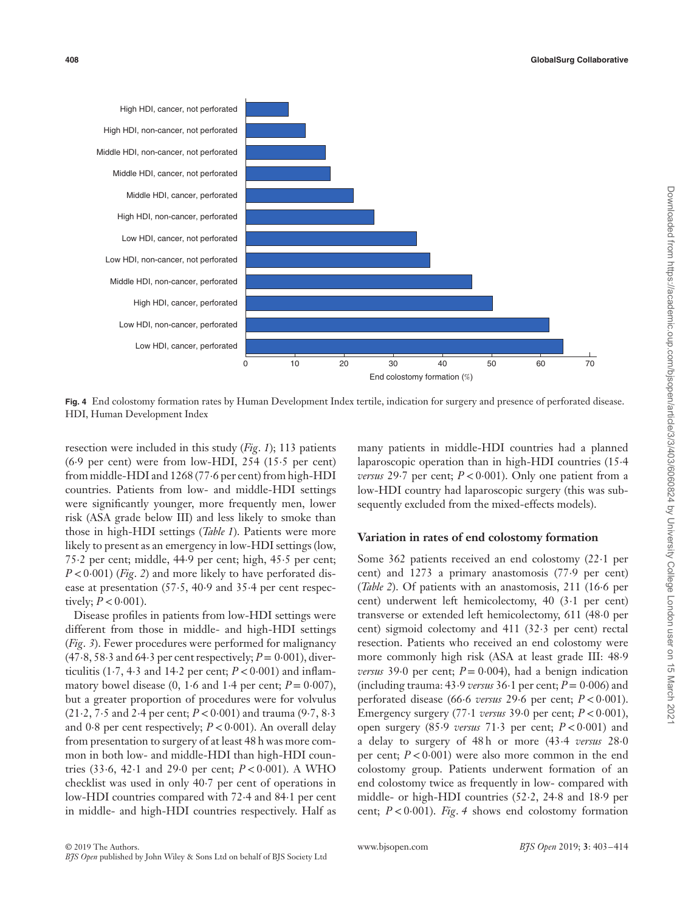

**Fig. 4** End colostomy formation rates by Human Development Index tertile, indication for surgery and presence of perforated disease. HDI, Human Development Index

resection were included in this study (*Fig*. *1*); 113 patients (6⋅9 per cent) were from low-HDI, 254 (15⋅5 per cent) from middle-HDI and 1268 (77⋅6 per cent) from high-HDI countries. Patients from low- and middle-HDI settings were significantly younger, more frequently men, lower risk (ASA grade below III) and less likely to smoke than those in high-HDI settings (*Table 1*). Patients were more likely to present as an emergency in low-HDI settings (low, 75⋅2 per cent; middle, 44⋅9 per cent; high, 45⋅5 per cent; *P* < 0⋅001) (*Fig. 2*) and more likely to have perforated disease at presentation (57⋅5, 40⋅9 and 35⋅4 per cent respectively;  $P < 0.001$ ).

Disease profiles in patients from low-HDI settings were different from those in middle- and high-HDI settings (*Fig*. *3*). Fewer procedures were performed for malignancy (47⋅8, 58⋅3 and 64⋅3 per cent respectively; *P*= 0⋅001), diverticulitis (1⋅7, 4⋅3 and 14⋅2 per cent;  $P < 0.001$ ) and inflammatory bowel disease  $(0, 1.6 \text{ and } 1.4 \text{ per cent}; P = 0.007)$ , but a greater proportion of procedures were for volvulus (21⋅2, 7⋅5 and 2⋅4 per cent; *P <*0⋅001) and trauma (9⋅7, 8⋅3 and 0⋅8 per cent respectively; *P <*0⋅001). An overall delay from presentation to surgery of at least 48 h was more common in both low- and middle-HDI than high-HDI countries (33⋅6, 42⋅1 and 29⋅0 per cent; *P <*0⋅001). A WHO checklist was used in only 40⋅7 per cent of operations in low-HDI countries compared with 72⋅4 and 84⋅1 per cent in middle- and high-HDI countries respectively. Half as

many patients in middle-HDI countries had a planned laparoscopic operation than in high-HDI countries (15⋅4 *versus* 29⋅7 per cent; *P* < 0⋅001). Only one patient from a low-HDI country had laparoscopic surgery (this was subsequently excluded from the mixed-effects models).

#### **Variation in rates of end colostomy formation**

Some 362 patients received an end colostomy (22⋅1 per cent) and 1273 a primary anastomosis (77⋅9 per cent) (*Table 2*). Of patients with an anastomosis, 211 (16⋅6 per cent) underwent left hemicolectomy, 40 (3⋅1 per cent) transverse or extended left hemicolectomy, 611 (48⋅0 per cent) sigmoid colectomy and 411 (32⋅3 per cent) rectal resection. Patients who received an end colostomy were more commonly high risk (ASA at least grade III: 48⋅9 *versus* 39⋅0 per cent;  $P = 0.004$ ), had a benign indication (including trauma: 43⋅9 *versus* 36⋅1 per cent; *P*= 0⋅006) and perforated disease (66⋅6 *versus* 29⋅6 per cent; *P <*0⋅001). Emergency surgery (77⋅1 *versus* 39⋅0 per cent; *P <*0⋅001), open surgery (85⋅9 *versus* 71⋅3 per cent; *P <*0⋅001) and a delay to surgery of 48 h or more (43⋅4 *versus* 28⋅0 per cent;  $P < 0.001$ ) were also more common in the end colostomy group. Patients underwent formation of an end colostomy twice as frequently in low- compared with middle- or high-HDI countries (52⋅2, 24⋅8 and 18⋅9 per cent; *P <*0⋅001). *Fig*. *4* shows end colostomy formation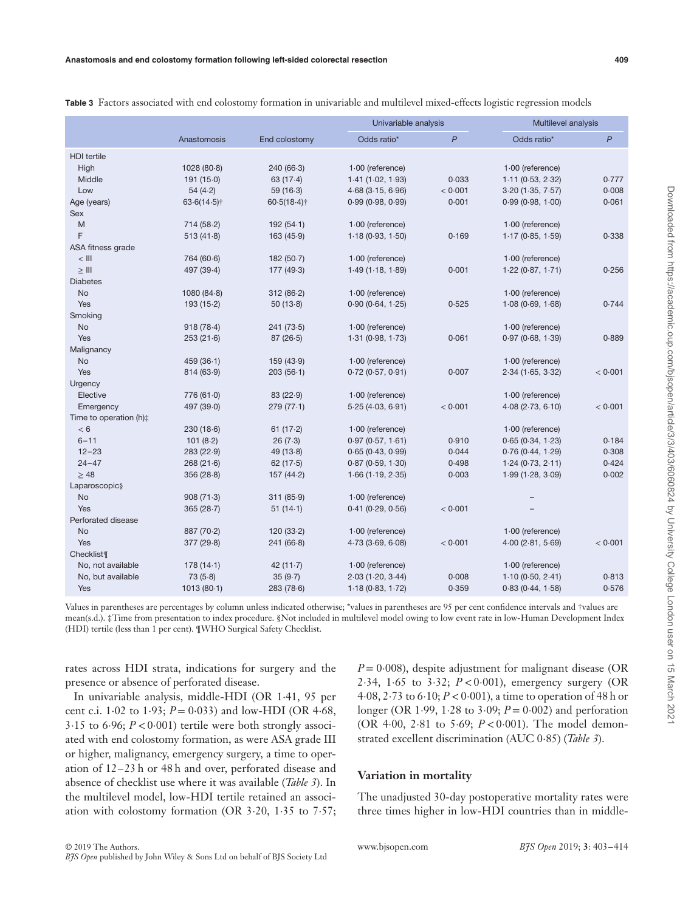| - | ٦<br>v<br>×<br>__ | ۰.<br>I |
|---|-------------------|---------|
|   |                   |         |

|                                  |                |                |                         | Univariable analysis |                    | Multilevel analysis |  |
|----------------------------------|----------------|----------------|-------------------------|----------------------|--------------------|---------------------|--|
|                                  | Anastomosis    | End colostomy  | Odds ratio*             | $\mathsf{P}$         | Odds ratio*        | $\overline{P}$      |  |
| <b>HDI</b> tertile               |                |                |                         |                      |                    |                     |  |
| High                             | 1028(80.8)     | 240(66.3)      | $1.00$ (reference)      |                      | $1.00$ (reference) |                     |  |
| Middle                           | 191(15.0)      | 63(17.4)       | 1.41(1.02, 1.93)        | 0.033                | 1.11(0.53, 2.32)   | 0.777               |  |
| Low                              | 54(4.2)        | 59(16.3)       | $4.68$ ( $3.15, 6.96$ ) | < 0.001              | 3.20(1.35, 7.57)   | 0.008               |  |
| Age (years)                      | $63.6(14.5)$ † | $60.5(18.4)$ † | 0.99(0.98, 0.99)        | 0.001                | 0.99(0.98, 1.00)   | 0.061               |  |
| Sex                              |                |                |                         |                      |                    |                     |  |
| M                                | 714 (58.2)     | 192(54.1)      | $1.00$ (reference)      |                      | $1.00$ (reference) |                     |  |
| F                                | 513(41.8)      | 163(45.9)      | 1.18(0.93, 1.50)        | 0.169                | 1.17(0.85, 1.59)   | 0.338               |  |
| ASA fitness grade                |                |                |                         |                      |                    |                     |  |
| $<$ lll                          | 764 (60.6)     | 182(50.7)      | $1.00$ (reference)      |                      | $1.00$ (reference) |                     |  |
| $\geq$ III                       | 497 (39.4)     | 177 (49.3)     | 1.49(1.18, 1.89)        | 0.001                | 1.22(0.87, 1.71)   | 0.256               |  |
| <b>Diabetes</b>                  |                |                |                         |                      |                    |                     |  |
| <b>No</b>                        | 1080(84.8)     | 312(86.2)      | $1.00$ (reference)      |                      | $1.00$ (reference) |                     |  |
| Yes                              | 193(15.2)      | 50(13.8)       | 0.90(0.64, 1.25)        | 0.525                | 1.08(0.69, 1.68)   | 0.744               |  |
| Smoking                          |                |                |                         |                      |                    |                     |  |
| No                               | 918(78.4)      | 241(73.5)      | $1.00$ (reference)      |                      | $1.00$ (reference) |                     |  |
| Yes                              | 253(21.6)      | 87(26.5)       | 1.31(0.98, 1.73)        | 0.061                | 0.97(0.68, 1.39)   | 0.889               |  |
| Malignancy                       |                |                |                         |                      |                    |                     |  |
| <b>No</b>                        | 459 (36.1)     | 159 (43-9)     | 1.00 (reference)        |                      | 1.00 (reference)   |                     |  |
| Yes                              | 814 (63.9)     | 203(56.1)      | 0.72(0.57, 0.91)        | 0.007                | 2.34(1.65, 3.32)   | < 0.001             |  |
| Urgency                          |                |                |                         |                      |                    |                     |  |
| Elective                         | 776 (61.0)     | 83 (22.9)      | $1.00$ (reference)      |                      | $1.00$ (reference) |                     |  |
| Emergency                        | 497 (39.0)     | 279 (77.1)     | 5.25(4.03, 6.91)        | < 0.001              | 4.08(2.73, 6.10)   | < 0.001             |  |
| Time to operation (h) $\ddagger$ |                |                |                         |                      |                    |                     |  |
| < 6                              | 230(18.6)      | 61(17.2)       | $1.00$ (reference)      |                      | $1.00$ (reference) |                     |  |
| $6 - 11$                         | 101(8.2)       | 26(7.3)        | 0.97(0.57, 1.61)        | 0.910                | 0.65(0.34, 1.23)   | 0.184               |  |
| $12 - 23$                        | 283 (22.9)     | 49(13.8)       | 0.65(0.43, 0.99)        | 0.044                | 0.76(0.44, 1.29)   | 0.308               |  |
| $24 - 47$                        | 268(21.6)      | 62(17.5)       | 0.87(0.59, 1.30)        | 0.498                | 1.24(0.73, 2.11)   | 0.424               |  |
| $\geq 48$                        | 356(28.8)      | 157 (44-2)     | 1.66(1.19, 2.35)        | 0.003                | 1.99(1.28, 3.09)   | 0.002               |  |
| Laparoscopic§                    |                |                |                         |                      |                    |                     |  |
| No                               | 908(71.3)      | 311(85.9)      | $1.00$ (reference)      |                      |                    |                     |  |
| Yes                              | 365(28.7)      | 51(14.1)       | 0.41(0.29, 0.56)        | < 0.001              |                    |                     |  |
| Perforated disease               |                |                |                         |                      |                    |                     |  |
| No                               | 887 (70.2)     | 120(33.2)      | $1.00$ (reference)      |                      | $1.00$ (reference) |                     |  |
| Yes                              | 377 (29.8)     | 241(66.8)      | 4.73(3.69, 6.08)        | < 0.001              | 4.00(2.81, 5.69)   | < 0.001             |  |
| Checklist¶                       |                |                |                         |                      |                    |                     |  |
| No, not available                | 178(14.1)      | 42(11.7)       | $1.00$ (reference)      |                      | $1.00$ (reference) |                     |  |
| No, but available                | 73(5.8)        | 35(9.7)        | 2.03(1.20, 3.44)        | 0.008                | 1.10(0.50, 2.41)   | 0.813               |  |
| Yes                              | 1013(80.1)     | 283(78.6)      | 1.18(0.83, 1.72)        | 0.359                | 0.83(0.44, 1.58)   | 0.576               |  |

**Table 3** Factors associated with end colostomy formation in univariable and multilevel mixed-effects logistic regression models

Values in parentheses are percentages by column unless indicated otherwise; \*values in parentheses are 95 per cent confidence intervals and †values are mean(s.d.). ‡Time from presentation to index procedure. §Not included in multilevel model owing to low event rate in low-Human Development Index (HDI) tertile (less than 1 per cent). ¶WHO Surgical Safety Checklist.

rates across HDI strata, indications for surgery and the presence or absence of perforated disease.

In univariable analysis, middle-HDI (OR 1⋅41, 95 per cent c.i. 1⋅02 to 1⋅93; *P*= 0⋅033) and low-HDI (OR 4⋅68, 3⋅15 to 6⋅96; *P <*0⋅001) tertile were both strongly associated with end colostomy formation, as were ASA grade III or higher, malignancy, emergency surgery, a time to operation of 12–23 h or 48 h and over, perforated disease and absence of checklist use where it was available (*Table 3*). In the multilevel model, low-HDI tertile retained an association with colostomy formation (OR 3⋅20, 1⋅35 to 7⋅57;

*P* = 0⋅008), despite adjustment for malignant disease (OR 2⋅34, 1⋅65 to 3⋅32; *P <*0⋅001), emergency surgery (OR 4⋅08, 2⋅73 to 6⋅10; *P <*0⋅001), a time to operation of 48 h or longer (OR 1⋅99, 1⋅28 to 3⋅09; *P*= 0⋅002) and perforation (OR 4⋅00, 2⋅81 to 5⋅69; *P <*0⋅001). The model demonstrated excellent discrimination (AUC 0⋅85) (*Table 3*).

#### **Variation in mortality**

The unadjusted 30-day postoperative mortality rates were three times higher in low-HDI countries than in middle-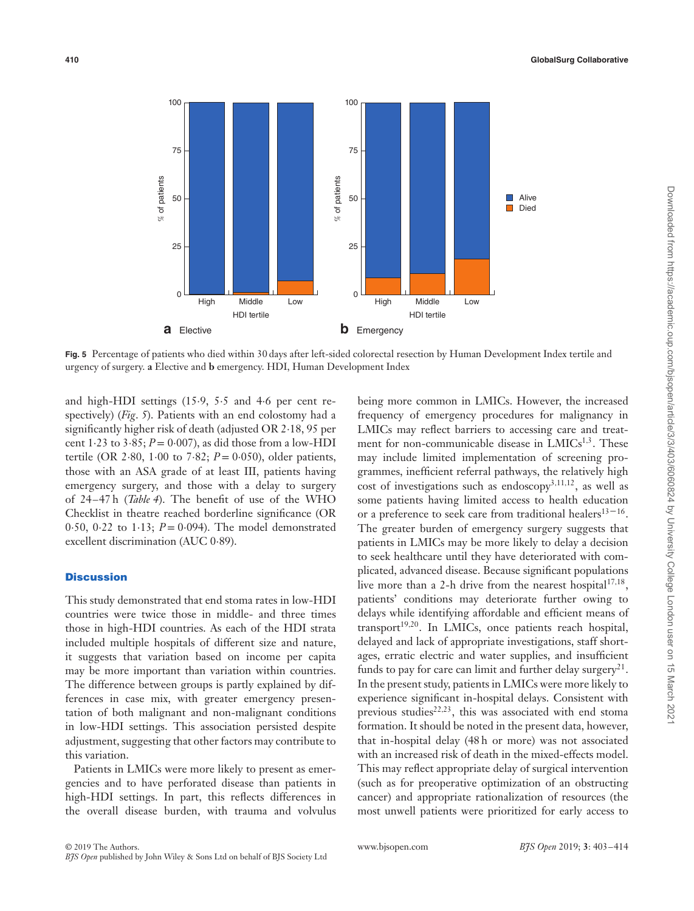

**Fig. 5** Percentage of patients who died within 30 days after left-sided colorectal resection by Human Development Index tertile and urgency of surgery. **a** Elective and **b** emergency. HDI, Human Development Index

and high-HDI settings (15⋅9, 5⋅5 and 4⋅6 per cent respectively) (*Fig*. *5*). Patients with an end colostomy had a significantly higher risk of death (adjusted OR 2⋅18, 95 per cent  $1.23$  to  $3.85$ ;  $P = 0.007$ ), as did those from a low-HDI tertile (OR 2⋅80, 1⋅00 to 7⋅82; *P*= 0⋅050), older patients, those with an ASA grade of at least III, patients having emergency surgery, and those with a delay to surgery of 24–47 h (*Table 4*). The benefit of use of the WHO Checklist in theatre reached borderline significance (OR 0⋅50, 0⋅22 to 1⋅13; *P*= 0⋅094). The model demonstrated excellent discrimination (AUC 0⋅89).

# **Discussion**

This study demonstrated that end stoma rates in low-HDI countries were twice those in middle- and three times those in high-HDI countries. As each of the HDI strata included multiple hospitals of different size and nature, it suggests that variation based on income per capita may be more important than variation within countries. The difference between groups is partly explained by differences in case mix, with greater emergency presentation of both malignant and non-malignant conditions in low-HDI settings. This association persisted despite adjustment, suggesting that other factors may contribute to this variation.

Patients in LMICs were more likely to present as emergencies and to have perforated disease than patients in high-HDI settings. In part, this reflects differences in the overall disease burden, with trauma and volvulus

being more common in LMICs. However, the increased frequency of emergency procedures for malignancy in LMICs may reflect barriers to accessing care and treatment for non-communicable disease in LMICs<sup>1,3</sup>. These may include limited implementation of screening programmes, inefficient referral pathways, the relatively high cost of investigations such as endoscopy<sup>3,11,12</sup>, as well as some patients having limited access to health education or a preference to seek care from traditional healers $13-16$ . The greater burden of emergency surgery suggests that patients in LMICs may be more likely to delay a decision to seek healthcare until they have deteriorated with complicated, advanced disease. Because significant populations live more than a 2-h drive from the nearest hospital17*,*18, patients' conditions may deteriorate further owing to delays while identifying affordable and efficient means of transport<sup>19,20</sup>. In LMICs, once patients reach hospital, delayed and lack of appropriate investigations, staff shortages, erratic electric and water supplies, and insufficient funds to pay for care can limit and further delay surgery<sup>21</sup>. In the present study, patients in LMICs were more likely to experience significant in-hospital delays. Consistent with previous studies<sup>22,23</sup>, this was associated with end stoma formation. It should be noted in the present data, however, that in-hospital delay (48 h or more) was not associated with an increased risk of death in the mixed-effects model. This may reflect appropriate delay of surgical intervention (such as for preoperative optimization of an obstructing cancer) and appropriate rationalization of resources (the most unwell patients were prioritized for early access to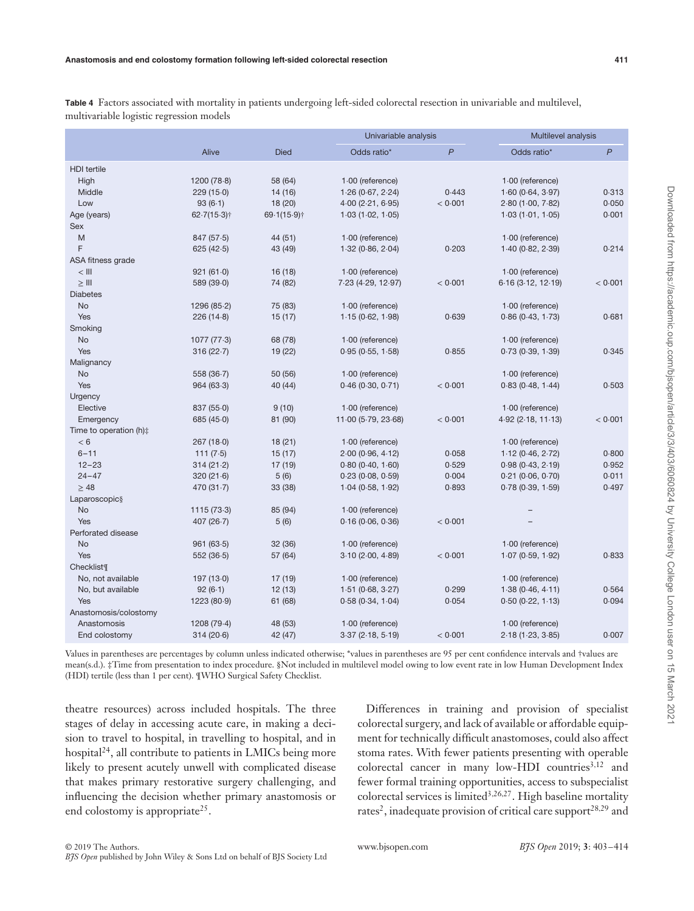**Table 4** Factors associated with mortality in patients undergoing left-sided colorectal resection in univariable and multilevel, multivariable logistic regression models

|                                |                |             |                     | Univariable analysis |                        | Multilevel analysis |  |
|--------------------------------|----------------|-------------|---------------------|----------------------|------------------------|---------------------|--|
|                                | Alive          | <b>Died</b> | Odds ratio*         | P                    | Odds ratio*            | $\mathsf{P}$        |  |
| <b>HDI</b> tertile             |                |             |                     |                      |                        |                     |  |
| High                           | 1200(78.8)     | 58 (64)     | $1.00$ (reference)  |                      | $1.00$ (reference)     |                     |  |
| Middle                         | 229(15.0)      | 14 (16)     | 1.26(0.67, 2.24)    | 0.443                | 1.60(0.64, 3.97)       | 0.313               |  |
| Low                            | 93(6.1)        | 18 (20)     | 4.00(2.21, 6.95)    | < 0.001              | 2.80(1.00, 7.82)       | 0.050               |  |
| Age (years)                    | $62.7(15.3)$ † | 69.1(15.9)† | 1.03(1.02, 1.05)    |                      | 1.03(1.01, 1.05)       | 0.001               |  |
| Sex                            |                |             |                     |                      |                        |                     |  |
| M                              | 847 (57.5)     | 44 (51)     | 1.00 (reference)    |                      | $1.00$ (reference)     |                     |  |
| F                              | 625(42.5)      | 43 (49)     | 1.32(0.86, 2.04)    | 0.203                | 1.40(0.82, 2.39)       | 0.214               |  |
| ASA fitness grade              |                |             |                     |                      |                        |                     |  |
| $<$ $   $                      | 921(61.0)      | 16(18)      | 1.00 (reference)    |                      | 1.00 (reference)       |                     |  |
| $\geq$ III                     | 589 (39.0)     | 74 (82)     | 7.23 (4.29, 12.97)  | < 0.001              | 6.16(3.12, 12.19)      | < 0.001             |  |
| <b>Diabetes</b>                |                |             |                     |                      |                        |                     |  |
| <b>No</b>                      | 1296 (85.2)    | 75 (83)     | 1.00 (reference)    |                      | 1.00 (reference)       |                     |  |
| Yes                            | 226(14.8)      | 15(17)      | 1.15(0.62, 1.98)    | 0.639                | 0.86(0.43, 1.73)       | 0.681               |  |
| Smoking                        |                |             |                     |                      |                        |                     |  |
| No                             | 1077(77.3)     | 68 (78)     | 1.00 (reference)    |                      | $1.00$ (reference)     |                     |  |
| Yes                            | 316(22.7)      | 19 (22)     | 0.95(0.55, 1.58)    | 0.855                | 0.73(0.39, 1.39)       | 0.345               |  |
| Malignancy                     |                |             |                     |                      |                        |                     |  |
| <b>No</b>                      | 558 (36.7)     | 50 (56)     | $1.00$ (reference)  |                      | $1.00$ (reference)     |                     |  |
| Yes                            | 964(63.3)      | 40 (44)     | 0.46(0.30, 0.71)    | < 0.001              | 0.83(0.48, 1.44)       | 0.503               |  |
| Urgency                        |                |             |                     |                      |                        |                     |  |
| Elective                       | 837 (55.0)     | 9(10)       | $1.00$ (reference)  |                      | $1.00$ (reference)     |                     |  |
| Emergency                      | 685(45.0)      | 81 (90)     | 11.00 (5.79, 23.68) | < 0.001              | $4.92$ (2.18, 11.13)   | < 0.001             |  |
| Time to operation (h):         |                |             |                     |                      |                        |                     |  |
| < 6                            | 267(18.0)      | 18(21)      | $1.00$ (reference)  |                      | $1.00$ (reference)     |                     |  |
| $6 - 11$                       | 111(7.5)       | 15(17)      | 2.00(0.96, 4.12)    | 0.058                | 1.12(0.46, 2.72)       | 0.800               |  |
| $12 - 23$                      | 314(21.2)      | 17 (19)     | 0.80(0.40, 1.60)    | 0.529                | 0.98(0.43, 2.19)       | 0.952               |  |
| $24 - 47$                      | 320(21.6)      | 5(6)        | 0.23(0.08, 0.59)    | 0.004                | $0.21$ (0.06, $0.70$ ) | 0.011               |  |
| $\geq 48$                      | 470(31.7)      | 33 (38)     | 1.04(0.58, 1.92)    | 0.893                | 0.78(0.39, 1.59)       | 0.497               |  |
| Laparoscopic§                  |                |             |                     |                      |                        |                     |  |
| <b>No</b>                      | 1115(73.3)     | 85 (94)     | $1.00$ (reference)  |                      |                        |                     |  |
| Yes                            | 407 $(26.7)$   | 5(6)        | 0.16(0.06, 0.36)    | < 0.001              |                        |                     |  |
| Perforated disease             |                |             |                     |                      |                        |                     |  |
| <b>No</b>                      | 961(63.5)      | 32 (36)     | 1.00 (reference)    |                      | 1.00 (reference)       |                     |  |
| Yes                            | 552(36.5)      | 57 (64)     | 3.10(2.00, 4.89)    | < 0.001              | 1.07(0.59, 1.92)       | 0.833               |  |
| <b>Checklist</b> <sup>II</sup> |                |             |                     |                      |                        |                     |  |
| No, not available              | 197(13.0)      | 17(19)      | $1.00$ (reference)  |                      | $1.00$ (reference)     |                     |  |
| No, but available              | 92(6.1)        | 12(13)      | 1.51(0.68, 3.27)    | 0.299                | 1.38(0.46, 4.11)       | 0.564               |  |
| Yes                            | 1223 (80.9)    | 61 (68)     | 0.58(0.34, 1.04)    | 0.054                | 0.50(0.22, 1.13)       | 0.094               |  |
| Anastomosis/colostomy          |                |             |                     |                      |                        |                     |  |
| Anastomosis                    | 1208 (79.4)    | 48 (53)     | 1.00 (reference)    |                      | 1.00 (reference)       |                     |  |
| End colostomy                  | 314(20.6)      | 42 (47)     | 3.37(2.18, 5.19)    | < 0.001              | 2.18(1.23, 3.85)       | 0.007               |  |
|                                |                |             |                     |                      |                        |                     |  |

Values in parentheses are percentages by column unless indicated otherwise; \*values in parentheses are 95 per cent confidence intervals and †values are mean(s.d.). ‡Time from presentation to index procedure. §Not included in multilevel model owing to low event rate in low Human Development Index (HDI) tertile (less than 1 per cent). ¶WHO Surgical Safety Checklist.

theatre resources) across included hospitals. The three stages of delay in accessing acute care, in making a decision to travel to hospital, in travelling to hospital, and in hospital<sup>24</sup>, all contribute to patients in LMICs being more likely to present acutely unwell with complicated disease that makes primary restorative surgery challenging, and influencing the decision whether primary anastomosis or end colostomy is appropriate<sup>25</sup>.

Differences in training and provision of specialist colorectal surgery, and lack of available or affordable equipment for technically difficult anastomoses, could also affect stoma rates. With fewer patients presenting with operable colorectal cancer in many low-HDI countries<sup>3,12</sup> and fewer formal training opportunities, access to subspecialist colorectal services is limited3*,*26*,*27. High baseline mortality rates<sup>2</sup>, inadequate provision of critical care support<sup>28,29</sup> and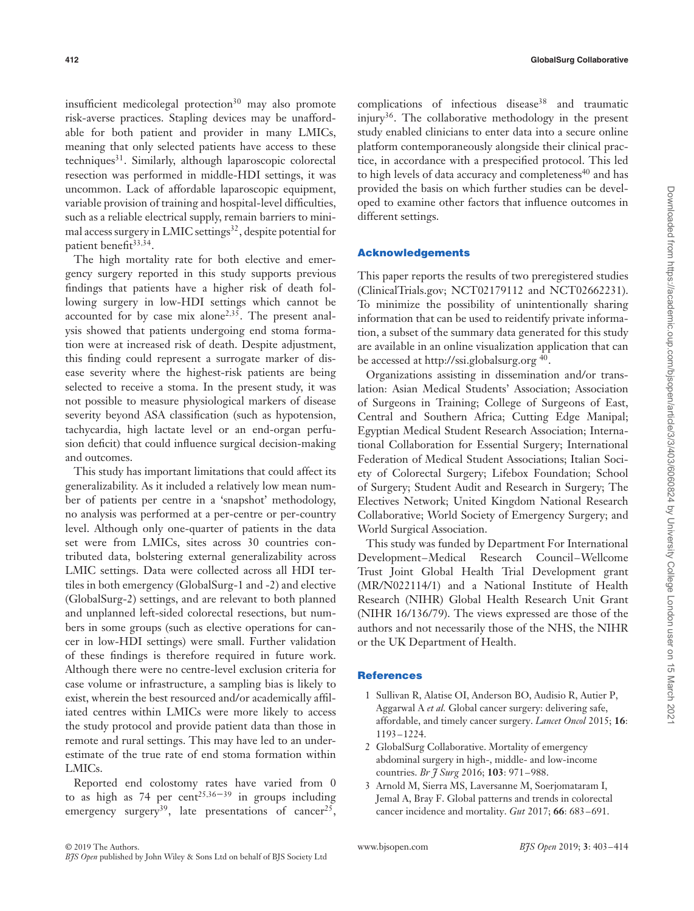insufficient medicolegal protection $30$  may also promote risk-averse practices. Stapling devices may be unaffordable for both patient and provider in many LMICs, meaning that only selected patients have access to these techniques<sup>31</sup>. Similarly, although laparoscopic colorectal resection was performed in middle-HDI settings, it was uncommon. Lack of affordable laparoscopic equipment, variable provision of training and hospital-level difficulties, such as a reliable electrical supply, remain barriers to minimal access surgery in LMIC settings<sup>32</sup>, despite potential for patient benefit<sup>33,34</sup>.

The high mortality rate for both elective and emergency surgery reported in this study supports previous findings that patients have a higher risk of death following surgery in low-HDI settings which cannot be accounted for by case mix alone<sup>2,35</sup>. The present analysis showed that patients undergoing end stoma formation were at increased risk of death. Despite adjustment, this finding could represent a surrogate marker of disease severity where the highest-risk patients are being selected to receive a stoma. In the present study, it was not possible to measure physiological markers of disease severity beyond ASA classification (such as hypotension, tachycardia, high lactate level or an end-organ perfusion deficit) that could influence surgical decision-making and outcomes.

This study has important limitations that could affect its generalizability. As it included a relatively low mean number of patients per centre in a 'snapshot' methodology, no analysis was performed at a per-centre or per-country level. Although only one-quarter of patients in the data set were from LMICs, sites across 30 countries contributed data, bolstering external generalizability across LMIC settings. Data were collected across all HDI tertiles in both emergency (GlobalSurg-1 and -2) and elective (GlobalSurg-2) settings, and are relevant to both planned and unplanned left-sided colorectal resections, but numbers in some groups (such as elective operations for cancer in low-HDI settings) were small. Further validation of these findings is therefore required in future work. Although there were no centre-level exclusion criteria for case volume or infrastructure, a sampling bias is likely to exist, wherein the best resourced and/or academically affiliated centres within LMICs were more likely to access the study protocol and provide patient data than those in remote and rural settings. This may have led to an underestimate of the true rate of end stoma formation within LMICs.

Reported end colostomy rates have varied from 0 to as high as 74 per cent<sup>25,36–39</sup> in groups including emergency surgery<sup>39</sup>, late presentations of cancer<sup>25</sup>,

complications of infectious disease<sup>38</sup> and traumatic injury<sup>36</sup>. The collaborative methodology in the present study enabled clinicians to enter data into a secure online platform contemporaneously alongside their clinical practice, in accordance with a prespecified protocol. This led to high levels of data accuracy and completeness<sup>40</sup> and has provided the basis on which further studies can be developed to examine other factors that influence outcomes in different settings.

#### **Acknowledgements**

This paper reports the results of two preregistered studies [\(ClinicalTrials.gov;](http://clinicaltrials.gov) NCT02179112 and NCT02662231). To minimize the possibility of unintentionally sharing information that can be used to reidentify private information, a subset of the summary data generated for this study are available in an online visualization application that can be accessed at<http://ssi.globalsurg.org><sup>40</sup>.

Organizations assisting in dissemination and/or translation: Asian Medical Students' Association; Association of Surgeons in Training; College of Surgeons of East, Central and Southern Africa; Cutting Edge Manipal; Egyptian Medical Student Research Association; International Collaboration for Essential Surgery; International Federation of Medical Student Associations; Italian Society of Colorectal Surgery; Lifebox Foundation; School of Surgery; Student Audit and Research in Surgery; The Electives Network; United Kingdom National Research Collaborative; World Society of Emergency Surgery; and World Surgical Association.

This study was funded by Department For International Development–Medical Research Council–Wellcome Trust Joint Global Health Trial Development grant (MR/N022114/1) and a National Institute of Health Research (NIHR) Global Health Research Unit Grant (NIHR 16/136/79). The views expressed are those of the authors and not necessarily those of the NHS, the NIHR or the UK Department of Health.

#### **References**

- 1 Sullivan R, Alatise OI, Anderson BO, Audisio R, Autier P, Aggarwal A *et al.* Global cancer surgery: delivering safe, affordable, and timely cancer surgery. *Lancet Oncol* 2015; **16**: 1193–1224.
- 2 GlobalSurg Collaborative. Mortality of emergency abdominal surgery in high-, middle- and low-income countries. *Br J Surg* 2016; **103**: 971–988.
- 3 Arnold M, Sierra MS, Laversanne M, Soerjomataram I, Jemal A, Bray F. Global patterns and trends in colorectal cancer incidence and mortality. *Gut* 2017; **66**: 683–691.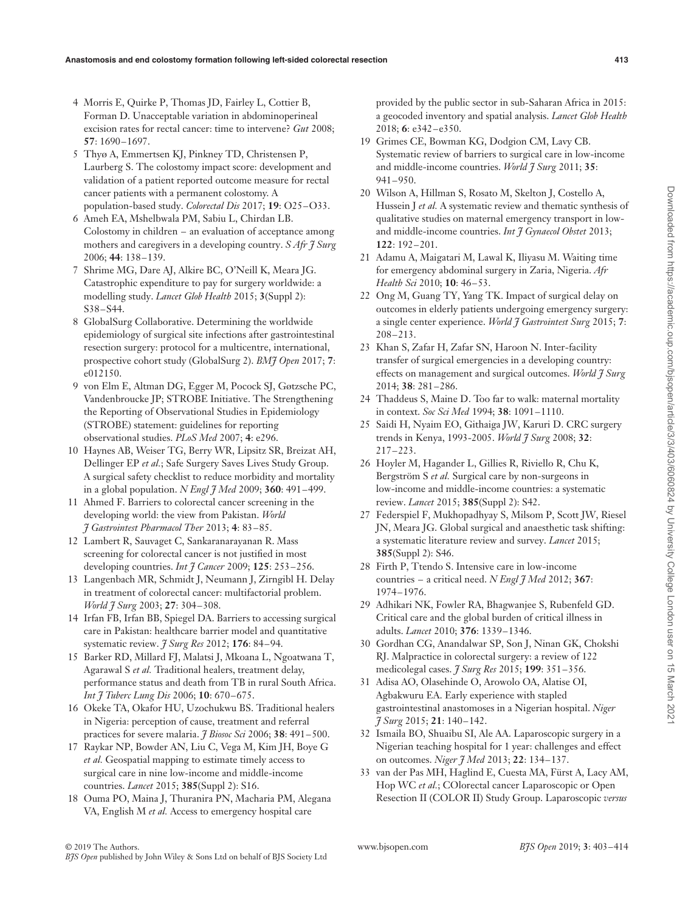- 4 Morris E, Quirke P, Thomas JD, Fairley L, Cottier B, Forman D. Unacceptable variation in abdominoperineal excision rates for rectal cancer: time to intervene? *Gut* 2008; **57**: 1690–1697.
- 5 Thyø A, Emmertsen KJ, Pinkney TD, Christensen P, Laurberg S. The colostomy impact score: development and validation of a patient reported outcome measure for rectal cancer patients with a permanent colostomy. A population-based study. *Colorectal Dis* 2017; **19**: O25–O33.
- 6 Ameh EA, Mshelbwala PM, Sabiu L, Chirdan LB. Colostomy in children – an evaluation of acceptance among mothers and caregivers in a developing country. *S Afr J Surg* 2006; **44**: 138–139.
- 7 Shrime MG, Dare AJ, Alkire BC, O'Neill K, Meara JG. Catastrophic expenditure to pay for surgery worldwide: a modelling study. *Lancet Glob Health* 2015; **3**(Suppl 2): S38–S44.
- 8 GlobalSurg Collaborative. Determining the worldwide epidemiology of surgical site infections after gastrointestinal resection surgery: protocol for a multicentre, international, prospective cohort study (GlobalSurg 2). *BMJ Open* 2017; **7**: e012150.
- 9 von Elm E, Altman DG, Egger M, Pocock SJ, Gøtzsche PC, Vandenbroucke JP; STROBE Initiative. The Strengthening the Reporting of Observational Studies in Epidemiology (STROBE) statement: guidelines for reporting observational studies. *PLoS Med* 2007; **4**: e296.
- 10 Haynes AB, Weiser TG, Berry WR, Lipsitz SR, Breizat AH, Dellinger EP *et al.*; Safe Surgery Saves Lives Study Group. A surgical safety checklist to reduce morbidity and mortality in a global population. *N Engl J Med* 2009; **360**: 491–499.
- 11 Ahmed F. Barriers to colorectal cancer screening in the developing world: the view from Pakistan. *World J Gastrointest Pharmacol Ther* 2013; **4**: 83–85.
- 12 Lambert R, Sauvaget C, Sankaranarayanan R. Mass screening for colorectal cancer is not justified in most developing countries. *Int J Cancer* 2009; **125**: 253–256.
- 13 Langenbach MR, Schmidt J, Neumann J, Zirngibl H. Delay in treatment of colorectal cancer: multifactorial problem. *World J Surg* 2003; **27**: 304–308.
- 14 Irfan FB, Irfan BB, Spiegel DA. Barriers to accessing surgical care in Pakistan: healthcare barrier model and quantitative systematic review. *J Surg Res* 2012; **176**: 84–94.
- 15 Barker RD, Millard FJ, Malatsi J, Mkoana L, Ngoatwana T, Agarawal S *et al.* Traditional healers, treatment delay, performance status and death from TB in rural South Africa. *Int J Tuberc Lung Dis* 2006; **10**: 670–675.
- 16 Okeke TA, Okafor HU, Uzochukwu BS. Traditional healers in Nigeria: perception of cause, treatment and referral practices for severe malaria. *J Biosoc Sci* 2006; **38**: 491–500.
- 17 Raykar NP, Bowder AN, Liu C, Vega M, Kim JH, Boye G *et al.* Geospatial mapping to estimate timely access to surgical care in nine low-income and middle-income countries. *Lancet* 2015; **385**(Suppl 2): S16.
- 18 Ouma PO, Maina J, Thuranira PN, Macharia PM, Alegana VA, English M *et al.* Access to emergency hospital care

provided by the public sector in sub-Saharan Africa in 2015: a geocoded inventory and spatial analysis. *Lancet Glob Health* 2018; **6**: e342–e350.

- 19 Grimes CE, Bowman KG, Dodgion CM, Lavy CB. Systematic review of barriers to surgical care in low-income and middle-income countries. *World J Surg* 2011; **35**: 941–950.
- 20 Wilson A, Hillman S, Rosato M, Skelton J, Costello A, Hussein J *et al.* A systematic review and thematic synthesis of qualitative studies on maternal emergency transport in lowand middle-income countries. *Int J Gynaecol Obstet* 2013; **122**: 192–201.
- 21 Adamu A, Maigatari M, Lawal K, Iliyasu M. Waiting time for emergency abdominal surgery in Zaria, Nigeria. *Afr Health Sci* 2010; **10**: 46–53.
- 22 Ong M, Guang TY, Yang TK. Impact of surgical delay on outcomes in elderly patients undergoing emergency surgery: a single center experience. *World J Gastrointest Surg* 2015; **7**: 208–213.
- 23 Khan S, Zafar H, Zafar SN, Haroon N. Inter-facility transfer of surgical emergencies in a developing country: effects on management and surgical outcomes. *World J Surg* 2014; **38**: 281–286.
- 24 Thaddeus S, Maine D. Too far to walk: maternal mortality in context. *Soc Sci Med* 1994; **38**: 1091–1110.
- 25 Saidi H, Nyaim EO, Githaiga JW, Karuri D. CRC surgery trends in Kenya, 1993-2005. *World J Surg* 2008; **32**: 217–223.
- 26 Hoyler M, Hagander L, Gillies R, Riviello R, Chu K, Bergström S *et al.* Surgical care by non-surgeons in low-income and middle-income countries: a systematic review. *Lancet* 2015; **385**(Suppl 2): S42.
- 27 Federspiel F, Mukhopadhyay S, Milsom P, Scott JW, Riesel JN, Meara JG. Global surgical and anaesthetic task shifting: a systematic literature review and survey. *Lancet* 2015; **385**(Suppl 2): S46.
- 28 Firth P, Ttendo S. Intensive care in low-income countries – a critical need. *N Engl J Med* 2012; **367**: 1974–1976.
- 29 Adhikari NK, Fowler RA, Bhagwanjee S, Rubenfeld GD. Critical care and the global burden of critical illness in adults. *Lancet* 2010; **376**: 1339–1346.
- 30 Gordhan CG, Anandalwar SP, Son J, Ninan GK, Chokshi RJ. Malpractice in colorectal surgery: a review of 122 medicolegal cases. *J Surg Res* 2015; **199**: 351–356.
- 31 Adisa AO, Olasehinde O, Arowolo OA, Alatise OI, Agbakwuru EA. Early experience with stapled gastrointestinal anastomoses in a Nigerian hospital. *Niger J Surg* 2015; **21**: 140–142.
- 32 Ismaila BO, Shuaibu SI, Ale AA. Laparoscopic surgery in a Nigerian teaching hospital for 1 year: challenges and effect on outcomes. *Niger J Med* 2013; **22**: 134–137.
- 33 van der Pas MH, Haglind E, Cuesta MA, Fürst A, Lacy AM, Hop WC *et al.*; COlorectal cancer Laparoscopic or Open Resection II (COLOR II) Study Group. Laparoscopic *versus*